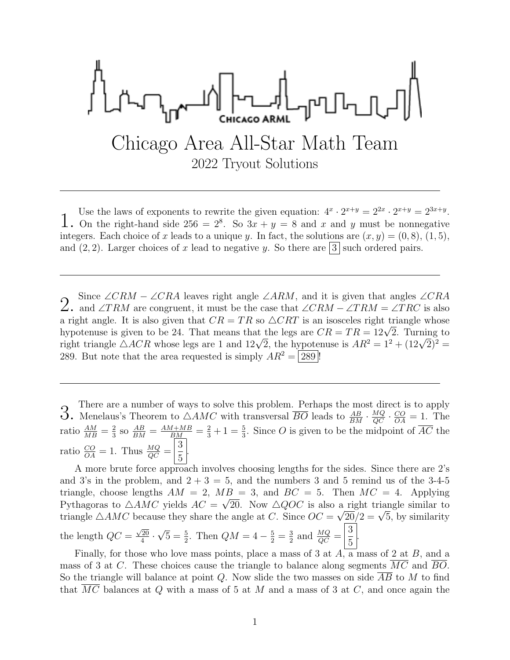$$
\int_{\text{Chicago Area All-Star Math Team}}^{\text{max}} \text{Chicago Area All-Star Math Team}
$$

1. Use the laws of exponents to rewrite the given equation:  $4^x \cdot 2^{x+y} = 2^{2x} \cdot 2^{x+y} = 2^{3x+y}$ .<br>1. On the right-hand side 256 =  $2^8$ . So  $3x + y = 8$  and x and y must be nonnegative  $\cdot 2^{x+y} = 2^{2x} \cdot 2^{x+y} = 2^{3x+y}.$ integers. Each choice of x leads to a unique y. In fact, the solutions are  $(x, y) = (0, 8), (1, 5)$ , and  $(2, 2)$ . Larger choices of x lead to negative y. So there are  $|3|$  such ordered pairs.

Since ∠CRM – ∠CRA leaves right angle ∠ARM, and it is given that angles ∠CRA ∠. and ∠TRM are congruent, it must be the case that ∠CRM – ∠TRM = ∠TRC is also a right angle. It is also given that  $CR = TR$  so  $\triangle CRT$  is an isosceles right triangle whose a right angle. It is also given that  $CR = 1R$  so  $\triangle CRI$  is an isosceles right triangle whose<br>hypotenuse is given to be 24. That means that the legs are  $CR = TR = 12\sqrt{2}$ . Turning to mypotenuse is given to be 24. That means that the legs are  $CR = TR = 12\sqrt{2}$ . Turning to right triangle  $\triangle ACR$  whose legs are 1 and  $12\sqrt{2}$ , the hypotenuse is  $AR^2 = 1^2 + (12\sqrt{2})^2 =$ 289. But note that the area requested is simply  $AR^2 = 289$ !

3. There are a number of ways to solve this problem. Perhaps the most direct is to apply 3. Menelaus's Theorem to  $\triangle AMC$  with transversal  $\overline{BO}$  leads to  $\frac{AB}{BM} \cdot \frac{MQ}{QC} \cdot \frac{CO}{OA} = 1$ . The ratio  $\frac{AM}{MB} = \frac{2}{3}$  $\frac{2}{3}$  so  $\frac{AB}{BM} = \frac{AM+MB}{BM} = \frac{2}{3} + 1 = \frac{5}{3}$ . Since O is given to be the midpoint of  $\overline{AC}$  the ratio  $\frac{CO}{OA} = 1$ . Thus  $\frac{MQ}{QC} =$ 3 5 .

A more brute force approach involves choosing lengths for the sides. Since there are 2's and 3's in the problem, and  $2 + 3 = 5$ , and the numbers 3 and 5 remind us of the 3-4-5 triangle, choose lengths  $AM = 2$ ,  $MB = 3$ , and  $BC = 5$ . Then  $MC = 4$ . Applying Pythagoras to  $\triangle AMC$  yields  $AC = \sqrt{20}$ . Now  $\triangle QOC$  is also a right triangle similar to rythagoras to  $\triangle AMC$  yields  $AC = \sqrt{20}$ . Now  $\triangle QOC$  is also a right triangle similar to triangle  $\triangle AMC$  because they share the angle at C. Since  $OC = \sqrt{20}/2 = \sqrt{5}$ , by similarity the length  $QC =$  $\sqrt{20}$  $\frac{20}{4}$ . √  $\overline{5} = \frac{5}{2}$ . Then  $QM = 4 - \frac{5}{2} = \frac{3}{2}$  $rac{3}{2}$  and  $rac{MQ}{QC}$  = 3 5 .

Finally, for those who love mass points, place a mass of 3 at  $A$ , a mass of 2 at  $B$ , and a mass of 3 at C. These choices cause the triangle to balance along segments MC and BO. So the triangle will balance at point Q. Now slide the two masses on side  $\overline{AB}$  to M to find that MC balances at  $Q$  with a mass of 5 at M and a mass of 3 at  $C$ , and once again the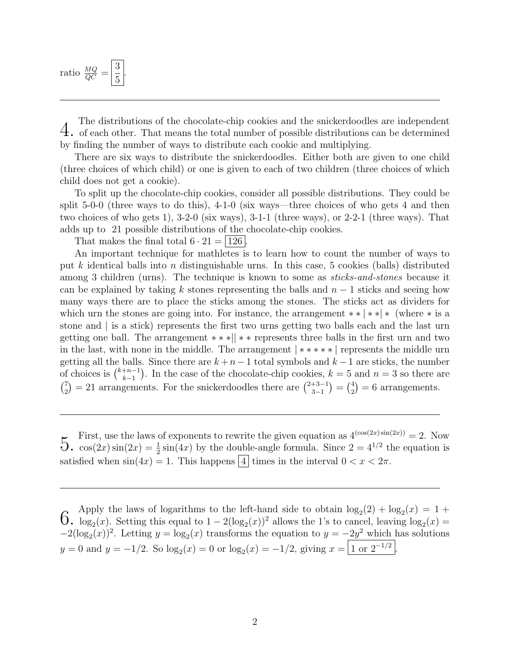ratio  $\frac{MQ}{QC}$  = 3 5 .

 $4.$  The distributions of the chocolate-chip cookies and the snickerdoodles are independent of each other. That means the total number of possible distributions can be determined by finding the number of ways to distribute each cookie and multiplying.

There are six ways to distribute the snickerdoodles. Either both are given to one child (three choices of which child) or one is given to each of two children (three choices of which child does not get a cookie).

To split up the chocolate-chip cookies, consider all possible distributions. They could be split 5-0-0 (three ways to do this), 4-1-0 (six ways—three choices of who gets 4 and then two choices of who gets 1), 3-2-0 (six ways), 3-1-1 (three ways), or 2-2-1 (three ways). That adds up to 21 possible distributions of the chocolate-chip cookies.

That makes the final total  $6 \cdot 21 = |126|$ .

An important technique for mathletes is to learn how to count the number of ways to put k identical balls into n distinguishable urns. In this case, 5 cookies (balls) distributed among 3 children (urns). The technique is known to some as *sticks-and-stones* because it can be explained by taking k stones representing the balls and  $n-1$  sticks and seeing how many ways there are to place the sticks among the stones. The sticks act as dividers for which urn the stones are going into. For instance, the arrangement  $**$  |  $**$  (where  $*$  is a stone and | is a stick) represents the first two urns getting two balls each and the last urn getting one ball. The arrangement ∗ ∗ ∗|| ∗ ∗ represents three balls in the first urn and two in the last, with none in the middle. The arrangement | ∗ ∗ ∗ ∗ ∗ | represents the middle urn getting all the balls. Since there are  $k + n - 1$  total symbols and  $k - 1$  are sticks, the number of choices is  $\binom{k+n-1}{k-1}$  $\binom{+n-1}{k-1}$ . In the case of the chocolate-chip cookies,  $k=5$  and  $n=3$  so there are  $\binom{7}{2}$  $\binom{7}{2} = 21$  arrangements. For the snickerdoodles there are  $\binom{2+3-1}{3-1}$  $\binom{+3-1}{3-1} = \binom{4}{2}$  $_{2}^{4}$ ) = 6 arrangements.

First, use the laws of exponents to rewrite the given equation as  $4^{(\cos(2x)\sin(2x))} = 2$ . Now  $5 \cdot \cos(2x) \sin(2x) = \frac{1}{2} \sin(4x)$  by the double-angle formula. Since  $2 = 4^{1/2}$  the equation is satisfied when  $\sin(4x) = 1$ . This happens 4 times in the interval  $0 < x < 2\pi$ .

 $6.$  Apply the laws of logarithms to the left-hand side to obtain  $\log_2(2) + \log_2(x) = 1 + 6.$  log<sub>2</sub>(x). Setting this equal to 1 − 2(log<sub>2</sub>(x))<sup>2</sup> allows the 1's to cancel, leaving  $\log_2(x) =$  $(2) + \log_2(x) = 1 +$  $-2(\log_2(x))^2$ . Letting  $y = \log_2(x)$  transforms the equation to  $y = -2y^2$  which has solutions  $y = 0$  and  $y = -1/2$ . So  $\log_2(x) = 0$  or  $\log_2(x) = -1/2$ , giving  $x = \boxed{1 \text{ or } 2^{-1/2}}$ .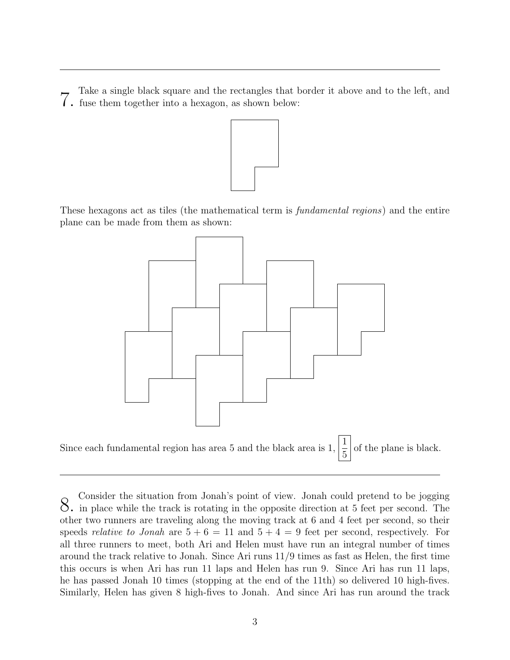Take a single black square and the rectangles that border it above and to the left, and  $\int$ . fuse them together into a hexagon, as shown below:



These hexagons act as tiles (the mathematical term is fundamental regions) and the entire plane can be made from them as shown:



S. Consider the situation from Jonah's point of view. Jonah could pretend to be jogging<br>S. in place while the track is rotating in the opposite direction at 5 feet per second. The other two runners are traveling along the moving track at 6 and 4 feet per second, so their speeds *relative to Jonah* are  $5 + 6 = 11$  and  $5 + 4 = 9$  feet per second, respectively. For all three runners to meet, both Ari and Helen must have run an integral number of times around the track relative to Jonah. Since Ari runs 11/9 times as fast as Helen, the first time this occurs is when Ari has run 11 laps and Helen has run 9. Since Ari has run 11 laps, he has passed Jonah 10 times (stopping at the end of the 11th) so delivered 10 high-fives. Similarly, Helen has given 8 high-fives to Jonah. And since Ari has run around the track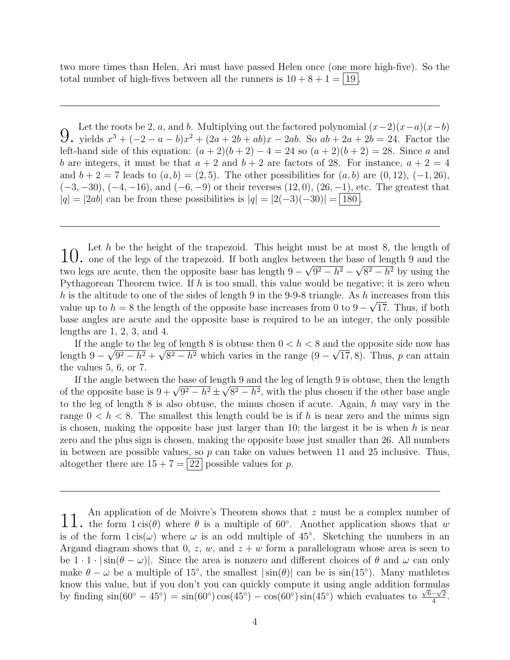two more times than Helen, Ari must have passed Helen once (one more high-five). So the total number of high-fives between all the runners is  $10 + 8 + 1 = |19|$ 

 $9.$  Let the roots be 2, *a*, and *b*. Multiplying out the factored polynomial  $(x-2)(x-a)(x-b)$ , yields  $x^3 + (-2-a-b)x^2 + (2a+2b+ab)x - 2ab$ . So  $ab + 2a + 2b = 24$ . Factor the left-hand side of this equation:  $(a + 2)(b + 2) - 4 = 24$  so  $(a + 2)(b + 2) = 28$ . Since a and b are integers, it must be that  $a + 2$  and  $b + 2$  are factors of 28. For instance,  $a + 2 = 4$ and  $b + 2 = 7$  leads to  $(a, b) = (2, 5)$ . The other possibilities for  $(a, b)$  are  $(0, 12)$ ,  $(-1, 26)$ ,  $(-3, -30), (-4, -16),$  and  $(-6, -9)$  or their reverses  $(12, 0), (26, -1)$ , etc. The greatest that  $|q| = |2ab|$  can be from these possibilities is  $|q| = |2(-3)(-30)| = |180|$ .

10. Let h be the height of the trapezoid. This height must be at most 8, the length of 10. One of the legs of the trapezoid. If both angles between the base of length 9 and the two legs are acute, then the opposite base has length  $9 - \sqrt{9^2 - h^2} - \sqrt{8^2 - h^2}$  by using the Pythagorean Theorem twice. If  $h$  is too small, this value would be negative; it is zero when h is the altitude to one of the sides of length 9 in the 9-9-8 triangle. As h increases from this value up to  $h = 8$  the length of the opposite base increases from 0 to  $9 - \sqrt{17}$ . Thus, if both base angles are acute and the opposite base is required to be an integer, the only possible lengths are 1, 2, 3, and 4.

If the angle to the leg of length 8 is obtuse then  $0 < h < 8$  and the opposite side now has length  $9 - \sqrt{9^2 - h^2} + \sqrt{8^2 - h^2}$  which varies in the range  $(9 - \sqrt{17}, 8)$ . Thus, p can attain the values 5, 6, or 7.

If the angle between the base of length 9 and the leg of length 9 is obtuse, then the length If the angle between the base of length 9 and the leg of length 9 is obtuse, then the length<br>of the opposite base is  $9 + \sqrt{9^2 - h^2} \pm \sqrt{8^2 - h^2}$ , with the plus chosen if the other base angle to the leg of length  $8$  is also obtuse, the minus chosen if acute. Again,  $h$  may vary in the range  $0 < h < 8$ . The smallest this length could be is if h is near zero and the minus sign is chosen, making the opposite base just larger than 10; the largest it be is when  $h$  is near zero and the plus sign is chosen, making the opposite base just smaller than 26. All numbers in between are possible values, so  $p$  can take on values between 11 and 25 inclusive. Thus, altogether there are  $15 + 7 = 22$  possible values for p.

<sup>11.</sup> An application of de Moivre's Theorem shows that z must be a complex number of  $11$ , the form  $1 \operatorname{cis}(\theta)$  where  $\theta$  is a multiple of 60°. Another application shows that w is of the form  $1 \operatorname{cis}(\omega)$  where  $\omega$  is an odd multiple of 45°. Sketching the numbers in an Argand diagram shows that 0, z, w, and  $z + w$  form a parallelogram whose area is seen to be  $1 \cdot 1 \cdot |\sin(\theta - \omega)|$ . Since the area is nonzero and different choices of  $\theta$  and  $\omega$  can only make  $\theta - \omega$  be a multiple of 15°, the smallest  $|\sin(\theta)|$  can be is  $\sin(15^{\circ})$ . Many mathletes know this value, but if you don't you can quickly compute it using angle addition formulas by finding  $\sin(60^\circ - 45^\circ) = \sin(60^\circ)\cos(45^\circ) - \cos(60^\circ)\sin(45^\circ)$  which evaluates to  $\frac{\sqrt{6}-\sqrt{2}}{4}$  $\frac{-\sqrt{2}}{4}$ .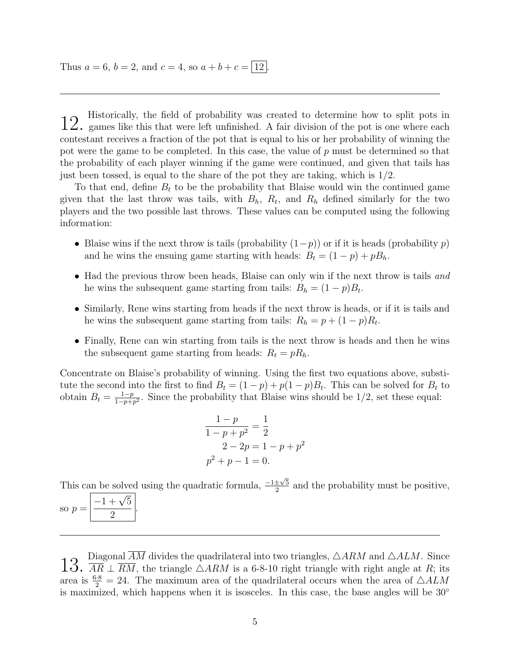Thus  $a = 6$ ,  $b = 2$ , and  $c = 4$ , so  $a + b + c = |12|$ .

 $12.$  Historically, the field of probability was created to determine how to split pots in  $12.$  games like this that were left unfinished. A fair division of the pot is one where each contestant receives a fraction of the pot that is equal to his or her probability of winning the pot were the game to be completed. In this case, the value of p must be determined so that the probability of each player winning if the game were continued, and given that tails has just been tossed, is equal to the share of the pot they are taking, which is  $1/2$ .

To that end, define  $B_t$  to be the probability that Blaise would win the continued game given that the last throw was tails, with  $B_h$ ,  $R_t$ , and  $R_h$  defined similarly for the two players and the two possible last throws. These values can be computed using the following information:

- Blaise wins if the next throw is tails (probability  $(1-p)$ ) or if it is heads (probability p) and he wins the ensuing game starting with heads:  $B_t = (1 - p) + pB_h$ .
- Had the previous throw been heads, Blaise can only win if the next throw is tails and he wins the subsequent game starting from tails:  $B_h = (1 - p)B_t$ .
- Similarly, Rene wins starting from heads if the next throw is heads, or if it is tails and he wins the subsequent game starting from tails:  $R_h = p + (1 - p)R_t$ .
- Finally, Rene can win starting from tails is the next throw is heads and then he wins the subsequent game starting from heads:  $R_t = pR_h$ .

Concentrate on Blaise's probability of winning. Using the first two equations above, substitute the second into the first to find  $B_t = (1-p) + p(1-p)B_t$ . This can be solved for  $B_t$  to obtain  $B_t = \frac{1-p}{1-p+1}$  $\frac{1-p}{1-p+p^2}$ . Since the probability that Blaise wins should be 1/2, set these equal:

$$
\frac{1-p}{1-p+p^2} = \frac{1}{2}
$$
  
2-2p = 1-p+p<sup>2</sup>  
p<sup>2</sup> + p - 1 = 0.

This can be solved using the quadratic formula,  $\frac{-1 \pm \sqrt{5}}{2}$  $\frac{\pm\sqrt{5}}{2}$  and the probability must be positive,

so  $p =$  $-1+\sqrt{5}$ 2 .

13. Diagonal AM divides the quadrilateral into two triangles,  $\triangle ARM$  and  $\triangle ALM$ . Since  $13.$   $\overline{AR} \perp \overline{RM}$ , the triangle  $\triangle ARM$  is a 6-8-10 right triangle with right angle at R; its area is  $\frac{6\cdot 8}{2} = 24$ . The maximum area of the quadrilateral occurs when the area of  $\triangle ALM$ is maximized, which happens when it is isosceles. In this case, the base angles will be  $30°$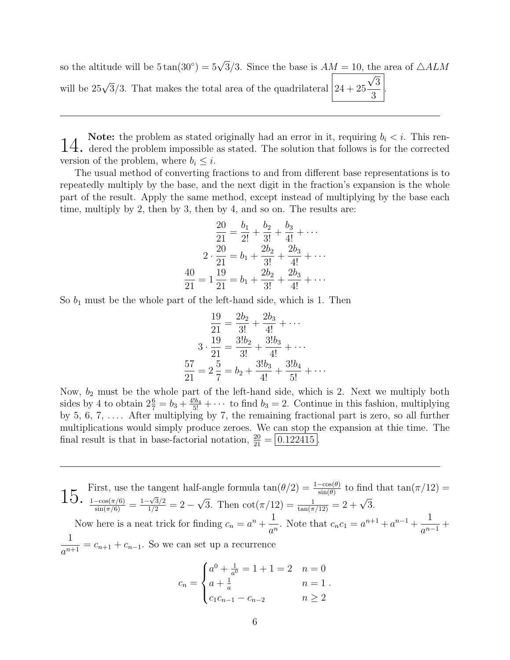so the altitude will be  $5 \tan(30^\circ) = 5\sqrt{3}/3$ . Since the base is  $AM = 10$ , the area of  $\triangle ALM$ will be 25 $\sqrt{3}/3$ . That makes the total area of the quadrilateral  $\Big|24+25\Big|$ √ 3 3 .

**14.** Note: the problem as stated originally had an error in it, requiring  $b_i < i$ . This ren-<br>**14.** dered the problem impossible as stated. The solution that follows is for the corrected version of the problem, where  $b_i \leq i$ .

The usual method of converting fractions to and from different base representations is to repeatedly multiply by the base, and the next digit in the fraction's expansion is the whole part of the result. Apply the same method, except instead of multiplying by the base each time, multiply by 2, then by 3, then by 4, and so on. The results are:

$$
\frac{20}{21} = \frac{b_1}{2!} + \frac{b_2}{3!} + \frac{b_3}{4!} + \cdots
$$

$$
2 \cdot \frac{20}{21} = b_1 + \frac{2b_2}{3!} + \frac{2b_3}{4!} + \cdots
$$

$$
\frac{40}{21} = 1\frac{19}{21} = b_1 + \frac{2b_2}{3!} + \frac{2b_3}{4!} + \cdots
$$

So  $b_1$  must be the whole part of the left-hand side, which is 1. Then

$$
\frac{19}{21} = \frac{2b_2}{3!} + \frac{2b_3}{4!} + \cdots
$$
  

$$
3 \cdot \frac{19}{21} = \frac{3!b_2}{3!} + \frac{3!b_3}{4!} + \cdots
$$
  

$$
\frac{57}{21} = 2\frac{5}{7} = b_2 + \frac{3!b_3}{4!} + \frac{3!b_4}{5!} + \cdots
$$

Now,  $b_2$  must be the whole part of the left-hand side, which is 2. Next we multiply both sides by 4 to obtain  $2\frac{6}{7} = b_3 + \frac{4!b_4}{5!} + \cdots$  to find  $b_3 = 2$ . Continue in this fashion, multiplying by 5, 6, 7,  $\ldots$  After multiplying by 7, the remaining fractional part is zero, so all further multiplications would simply produce zeroes. We can stop the expansion at thie time. The final result is that in base-factorial notation,  $\frac{20}{21} = \boxed{0.122415}$ .

15. First, use the tangent half-angle formula  $\tan(\theta/2) = \frac{1-\cos(\theta)}{\sin(\theta)}$ <br>15.  $\frac{1-\cos(\pi/6)}{1-\cos(\pi/6)} = \frac{1-\sqrt{3}/2}{1-\cos(\pi/6)} = 2 - \sqrt{3}$ . Then  $\cot(\pi/12) = \frac{1}{\cos(\pi/12)} =$  $\frac{-\cos(\theta)}{\sin(\theta)}$  to find that  $\tan(\pi/12)$  =  $\frac{1-\cos(\pi/6)}{\sin(\pi/6)} = \frac{1-\sqrt{3}/2}{1/2} = 2$  – √ 3. Then  $\cot(\pi/12) = \frac{1}{\tan(\pi/12)} = 2 + \sqrt{3}$ . Now here is a neat trick for finding  $c_n = a^n + \frac{1}{a^n}$  $\frac{1}{a^n}$ . Note that  $c_n c_1 = a^{n+1} + a^{n-1} + \frac{1}{a^{n-1}}$  $\frac{1}{a^{n-1}} +$ 1  $\frac{1}{a^{n+1}} = c_{n+1} + c_{n-1}$ . So we can set up a recurrence

$$
c_n = \begin{cases} a^0 + \frac{1}{a^0} = 1 + 1 = 2 & n = 0 \\ a + \frac{1}{a} & n = 1 \\ c_1 c_{n-1} - c_{n-2} & n \ge 2 \end{cases}
$$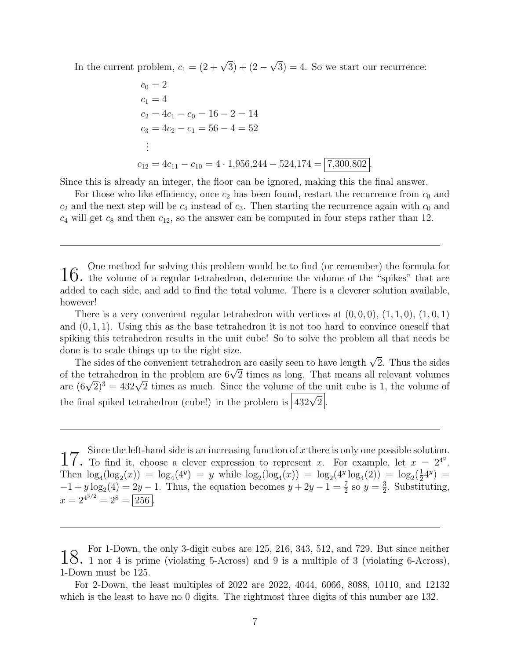In the current problem,  $c_1 = (2 + \sqrt{3}) + (2 - \sqrt{3})$ √  $3$ ) = 4. So we start our recurrence:

$$
c_0 = 2
$$
  
\n
$$
c_1 = 4
$$
  
\n
$$
c_2 = 4c_1 - c_0 = 16 - 2 = 14
$$
  
\n
$$
c_3 = 4c_2 - c_1 = 56 - 4 = 52
$$
  
\n:  
\n:  
\n
$$
c_{12} = 4c_{11} - c_{10} = 4 \cdot 1,956,244 - 524,174 = \boxed{7,300,802}
$$

Since this is already an integer, the floor can be ignored, making this the final answer.

For those who like efficiency, once  $c_2$  has been found, restart the recurrence from  $c_0$  and  $c_2$  and the next step will be  $c_4$  instead of  $c_3$ . Then starting the recurrence again with  $c_0$  and  $c_4$  will get  $c_8$  and then  $c_{12}$ , so the answer can be computed in four steps rather than 12.

 $16.$  One method for solving this problem would be to find (or remember) the formula for  $16.$  the volume of a regular tetrahedron, determine the volume of the "spikes" that are added to each side, and add to find the total volume. There is a cleverer solution available, however!

There is a very convenient regular tetrahedron with vertices at  $(0,0,0)$ ,  $(1,1,0)$ ,  $(1,0,1)$ and  $(0, 1, 1)$ . Using this as the base tetrahedron it is not too hard to convince oneself that spiking this tetrahedron results in the unit cube! So to solve the problem all that needs be done is to scale things up to the right size.

e is to scale things up to the right size.<br>The sides of the convenient tetrahedron are easily seen to have length  $\sqrt{2}$ . Thus the sides The sides of the convenient tetrahedron are easily seen to have length  $\sqrt{2}$ . Thus the sides of the tetrahedron in the problem are  $6\sqrt{2}$  times as long. That means all relevant volumes or the tetranearon in the problem are  $6\sqrt{2}$  times as long. That means all relevant volumes<br>are  $(6\sqrt{2})^3 = 432\sqrt{2}$  times as much. Since the volume of the unit cube is 1, the volume of the final spiked tetrahedron (cube!) in the problem is  $\boxed{432\sqrt{2}}$ .

17. Since the left-hand side is an increasing function of x there is only one possible solution.<br>17. To find it, choose a clever expression to represent x. For example, let  $x = 2^{4^y}$ . Then  $\log_4(\log_2(x)) = \log_4(4^y) = y$  while  $\log_2(\log_4(x)) = \log_2(4^y \log_4(2)) = \log_2(\frac{1}{2}4^y) =$  $-1 + y \log_2(4) = 2y - 1$ . Thus, the equation becomes  $y + 2y - 1 = \frac{7}{2}$  so  $y = \frac{3}{2}$ . Substitution  $\frac{3}{2}$ . Substituting,  $x = 2^{4^{3/2}} = 2^8 = 256$ .

<sup>18.</sup> For 1-Down, the only 3-digit cubes are 125, 216, 343, 512, and 729. But since neither 1 nor 4 is prime (violating 5-Across) and 9 is a multiple of 3 (violating 6-Across), 1-Down must be 125.

For 2-Down, the least multiples of 2022 are 2022, 4044, 6066, 8088, 10110, and 12132 which is the least to have no 0 digits. The rightmost three digits of this number are 132.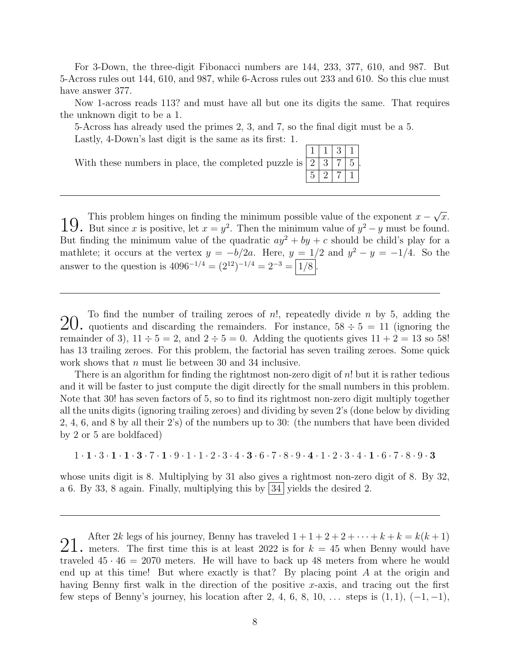For 3-Down, the three-digit Fibonacci numbers are 144, 233, 377, 610, and 987. But 5-Across rules out 144, 610, and 987, while 6-Across rules out 233 and 610. So this clue must have answer 377.

Now 1-across reads 113? and must have all but one its digits the same. That requires the unknown digit to be a 1.

.

5-Across has already used the primes 2, 3, and 7, so the final digit must be a 5. Lastly, 4-Down's last digit is the same as its first: 1.

With these numbers in place, the completed puzzle is  $1 \mid 1 \mid 3 \mid 1$  $2 | 3 | 7 | 5$  $5 | 2 | 7 | 1$ 

19. This problem hinges on finding the minimum possible value of the exponent  $x - \sqrt{x}$ .<br>19. But since x is positive, let  $x = y^2$ . Then the minimum value of  $y^2 - y$  must be found. √  $\overline{x}$ . But finding the minimum value of the quadratic  $ay^2 + by + c$  should be child's play for a mathlete; it occurs at the vertex  $y = -b/2a$ . Here,  $y = 1/2$  and  $y^2 - y = -1/4$ . So the answer to the question is  $4096^{-1/4} = (2^{12})^{-1/4} = 2^{-3} = |1/8|$ .

20. To find the number of trailing zeroes of *n*!, repeatedly divide *n* by 5, adding the quotients and discarding the remainders. For instance,  $58 \div 5 = 11$  (ignoring the remainder of 3),  $11 \div 5 = 2$ , and  $2 \div 5 = 0$ . Adding the quotients gives  $11 + 2 = 13$  so 58! has 13 trailing zeroes. For this problem, the factorial has seven trailing zeroes. Some quick work shows that *n* must lie between 30 and 34 inclusive.

There is an algorithm for finding the rightmost non-zero digit of n! but it is rather tedious and it will be faster to just compute the digit directly for the small numbers in this problem. Note that 30! has seven factors of 5, so to find its rightmost non-zero digit multiply together all the units digits (ignoring trailing zeroes) and dividing by seven 2's (done below by dividing 2, 4, 6, and 8 by all their 2's) of the numbers up to 30: (the numbers that have been divided by 2 or 5 are boldfaced)

 $1\cdot\textbf{1}\cdot\textbf{3}\cdot\textbf{1}\cdot\textbf{1}\cdot\textbf{3}\cdot\textbf{7}\cdot\textbf{1}\cdot\textbf{9}\cdot1\cdot1\cdot2\cdot3\cdot4\cdot\textbf{3}\cdot6\cdot7\cdot8\cdot9\cdot\textbf{4}\cdot1\cdot2\cdot3\cdot4\cdot1\cdot6\cdot7\cdot8\cdot9\cdot\textbf{3}$ 

whose units digit is 8. Multiplying by 31 also gives a rightmost non-zero digit of 8. By 32, a 6. By 33, 8 again. Finally, multiplying this by  $|34|$  yields the desired 2.

21. After 2k legs of his journey, Benny has traveled  $1+1+2+2+\cdots+k+k=k(k+1)$ <br>21. meters. The first time this is at least 2022 is for  $k=45$  when Benny would have traveled  $45 \cdot 46 = 2070$  meters. He will have to back up 48 meters from where he would end up at this time! But where exactly is that? By placing point  $A$  at the origin and having Benny first walk in the direction of the positive x-axis, and tracing out the first few steps of Benny's journey, his location after 2, 4, 6, 8, 10, ... steps is  $(1, 1)$ ,  $(-1, -1)$ ,